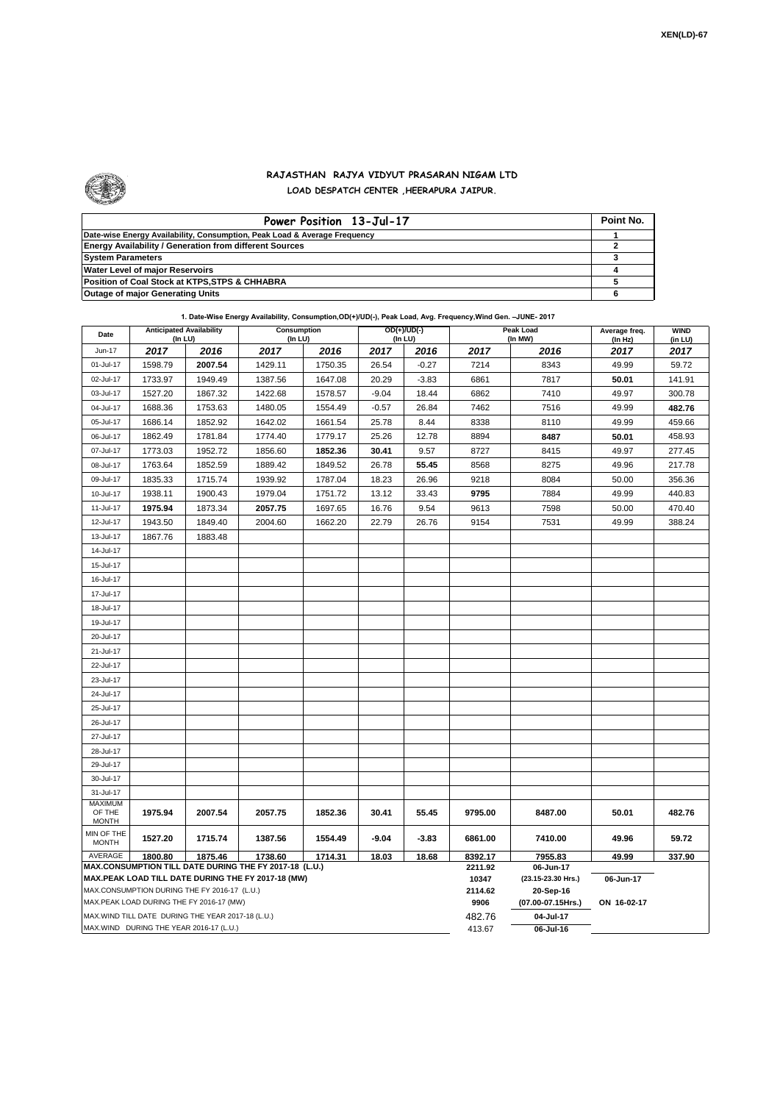

## **RAJASTHAN RAJYA VIDYUT PRASARAN NIGAM LTD LOAD DESPATCH CENTER ,HEERAPURA JAIPUR.**

| Power Position 13-Jul-17                                                  | Point No. |
|---------------------------------------------------------------------------|-----------|
| Date-wise Energy Availability, Consumption, Peak Load & Average Frequency |           |
| <b>Energy Availability / Generation from different Sources</b>            |           |
| <b>System Parameters</b>                                                  |           |
| Water Level of major Reservoirs                                           |           |
| Position of Coal Stock at KTPS, STPS & CHHABRA                            |           |
| <b>Outage of major Generating Units</b>                                   |           |

| 1. Date-Wise Energy Availability, Consumption, OD(+)/UD(-), Peak Load, Avg. Frequency, Wind Gen. -JUNE- 2017 |  |  |  |
|--------------------------------------------------------------------------------------------------------------|--|--|--|
|--------------------------------------------------------------------------------------------------------------|--|--|--|

| Date                                                                                               |         | <b>Anticipated Availability</b><br>(In LU) | <b>Consumption</b><br>(In LU)                          |                  |                                 | OD(+)/UD(-)<br>(In LU) |         | <b>Peak Load</b><br>Average freq.<br>(In MW) |                 | <b>WIND</b><br>(in LU) |
|----------------------------------------------------------------------------------------------------|---------|--------------------------------------------|--------------------------------------------------------|------------------|---------------------------------|------------------------|---------|----------------------------------------------|-----------------|------------------------|
| Jun-17                                                                                             | 2017    | 2016                                       | 2017                                                   | 2016             | 2017                            | 2016                   | 2017    | 2016                                         | (In Hz)<br>2017 | 2017                   |
| 01-Jul-17                                                                                          | 1598.79 | 2007.54                                    | 1429.11                                                | 1750.35          | 26.54                           | $-0.27$                | 7214    | 8343                                         | 49.99           | 59.72                  |
| 02-Jul-17                                                                                          | 1733.97 | 1949.49                                    | 1387.56                                                | 1647.08          | 20.29                           | $-3.83$                | 6861    | 7817                                         | 50.01           | 141.91                 |
| 03-Jul-17                                                                                          | 1527.20 | 1867.32                                    | 1422.68                                                | 1578.57          | $-9.04$                         | 18.44                  | 6862    | 7410                                         | 49.97           | 300.78                 |
| 04-Jul-17                                                                                          | 1688.36 | 1753.63                                    | 1480.05                                                | 1554.49          | $-0.57$                         | 26.84                  | 7462    | 7516                                         | 49.99           | 482.76                 |
| 05-Jul-17                                                                                          | 1686.14 | 1852.92                                    | 1642.02                                                | 1661.54          | 25.78                           | 8.44                   | 8338    | 8110                                         | 49.99           | 459.66                 |
| 06-Jul-17                                                                                          | 1862.49 | 1781.84                                    | 1774.40                                                | 1779.17          | 25.26                           | 12.78                  | 8894    | 8487                                         | 50.01           | 458.93                 |
| 07-Jul-17                                                                                          | 1773.03 | 1952.72                                    | 1856.60                                                | 1852.36          | 30.41                           | 9.57                   | 8727    | 8415                                         | 49.97           | 277.45                 |
| 08-Jul-17                                                                                          | 1763.64 | 1852.59                                    | 1889.42                                                | 1849.52          | 26.78                           | 55.45                  | 8568    | 8275                                         | 49.96           | 217.78                 |
| 09-Jul-17                                                                                          | 1835.33 | 1715.74                                    | 1939.92                                                | 1787.04          | 18.23                           | 26.96                  | 9218    | 8084                                         | 50.00           | 356.36                 |
| 10-Jul-17                                                                                          | 1938.11 | 1900.43                                    | 1979.04                                                | 1751.72          | 13.12                           | 33.43                  | 9795    | 7884                                         | 49.99           | 440.83                 |
| 11-Jul-17                                                                                          | 1975.94 | 1873.34                                    | 2057.75                                                | 1697.65          | 16.76                           | 9.54                   | 9613    | 7598                                         | 50.00           | 470.40                 |
| 12-Jul-17                                                                                          | 1943.50 | 1849.40                                    | 2004.60                                                | 1662.20          | 22.79                           | 26.76                  | 9154    | 7531                                         | 49.99           | 388.24                 |
| 13-Jul-17                                                                                          | 1867.76 | 1883.48                                    |                                                        |                  |                                 |                        |         |                                              |                 |                        |
| 14-Jul-17                                                                                          |         |                                            |                                                        |                  |                                 |                        |         |                                              |                 |                        |
| 15-Jul-17                                                                                          |         |                                            |                                                        |                  |                                 |                        |         |                                              |                 |                        |
| 16-Jul-17                                                                                          |         |                                            |                                                        |                  |                                 |                        |         |                                              |                 |                        |
| 17-Jul-17                                                                                          |         |                                            |                                                        |                  |                                 |                        |         |                                              |                 |                        |
| 18-Jul-17                                                                                          |         |                                            |                                                        |                  |                                 |                        |         |                                              |                 |                        |
| 19-Jul-17                                                                                          |         |                                            |                                                        |                  |                                 |                        |         |                                              |                 |                        |
| 20-Jul-17                                                                                          |         |                                            |                                                        |                  |                                 |                        |         |                                              |                 |                        |
| 21-Jul-17                                                                                          |         |                                            |                                                        |                  |                                 |                        |         |                                              |                 |                        |
| 22-Jul-17                                                                                          |         |                                            |                                                        |                  |                                 |                        |         |                                              |                 |                        |
| 23-Jul-17                                                                                          |         |                                            |                                                        |                  |                                 |                        |         |                                              |                 |                        |
| 24-Jul-17                                                                                          |         |                                            |                                                        |                  |                                 |                        |         |                                              |                 |                        |
| 25-Jul-17                                                                                          |         |                                            |                                                        |                  |                                 |                        |         |                                              |                 |                        |
| 26-Jul-17                                                                                          |         |                                            |                                                        |                  |                                 |                        |         |                                              |                 |                        |
| 27-Jul-17                                                                                          |         |                                            |                                                        |                  |                                 |                        |         |                                              |                 |                        |
| 28-Jul-17                                                                                          |         |                                            |                                                        |                  |                                 |                        |         |                                              |                 |                        |
| 29-Jul-17                                                                                          |         |                                            |                                                        |                  |                                 |                        |         |                                              |                 |                        |
| 30-Jul-17                                                                                          |         |                                            |                                                        |                  |                                 |                        |         |                                              |                 |                        |
| 31-Jul-17                                                                                          |         |                                            |                                                        |                  |                                 |                        |         |                                              |                 |                        |
| <b>MAXIMUM</b><br>OF THE                                                                           | 1975.94 | 2007.54                                    | 2057.75                                                | 1852.36          | 30.41                           | 55.45                  | 9795.00 | 8487.00                                      | 50.01           | 482.76                 |
| <b>MONTH</b>                                                                                       |         |                                            |                                                        |                  |                                 |                        |         |                                              |                 |                        |
| MIN OF THE<br><b>MONTH</b>                                                                         | 1527.20 | 1715.74                                    | 1387.56                                                | 1554.49          | -9.04                           | $-3.83$                | 6861.00 | 7410.00                                      | 49.96           | 59.72                  |
| AVERAGE                                                                                            | 1800.80 | 1875.46                                    | 1738.60                                                | 1714.31          | 18.03                           | 18.68                  | 8392.17 | 7955.83                                      | 49.99           | 337.90                 |
|                                                                                                    |         |                                            | MAX.CONSUMPTION TILL DATE DURING THE FY 2017-18 (L.U.) |                  |                                 |                        | 2211.92 | 06-Jun-17                                    |                 |                        |
| MAX.PEAK LOAD TILL DATE DURING THE FY 2017-18 (MW)<br>MAX.CONSUMPTION DURING THE FY 2016-17 (L.U.) |         |                                            |                                                        | 10347<br>2114.62 | (23.15-23.30 Hrs.)<br>20-Sep-16 | 06-Jun-17              |         |                                              |                 |                        |
| MAX.PEAK LOAD DURING THE FY 2016-17 (MW)                                                           |         |                                            |                                                        | 9906             | (07.00-07.15Hrs.)               | ON 16-02-17            |         |                                              |                 |                        |
| MAX. WIND TILL DATE DURING THE YEAR 2017-18 (L.U.)                                                 |         |                                            |                                                        |                  | 482.76                          | 04-Jul-17              |         |                                              |                 |                        |
| MAX.WIND DURING THE YEAR 2016-17 (L.U.)                                                            |         |                                            |                                                        |                  | 413.67                          | 06-Jul-16              |         |                                              |                 |                        |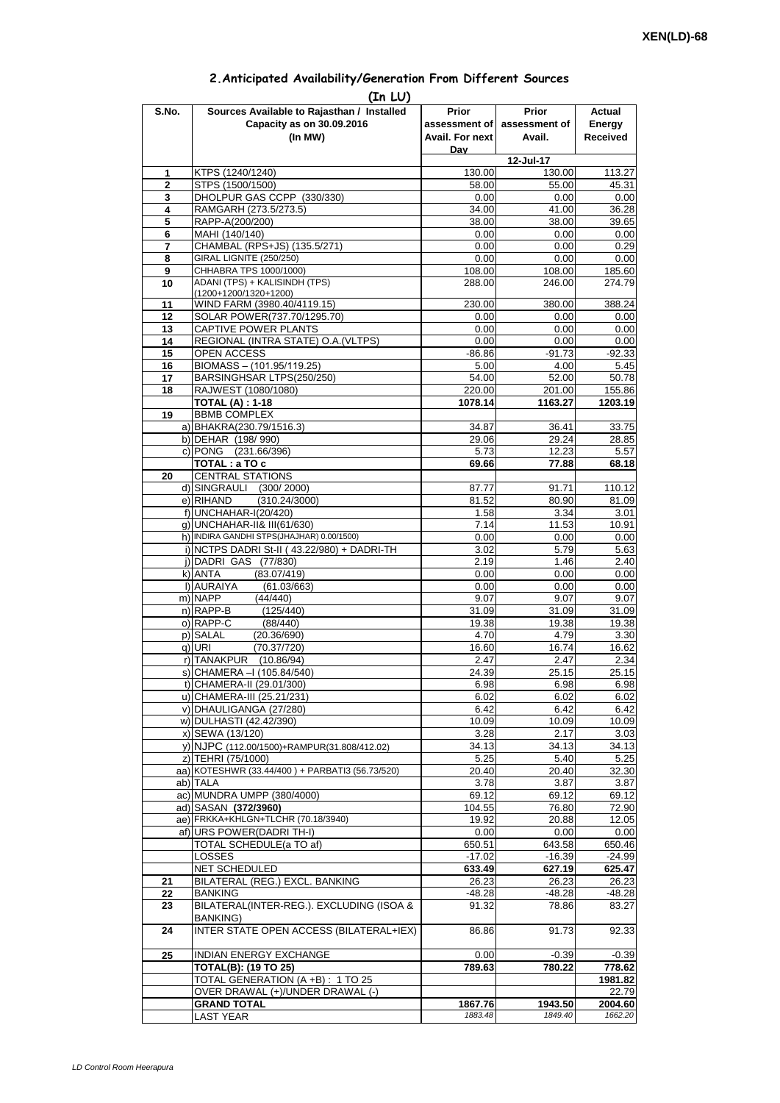| 2. Anticipated Availability/Generation From Different Sources |  |  |  |
|---------------------------------------------------------------|--|--|--|
|                                                               |  |  |  |

| S.No.             | (In LU)<br>Sources Available to Rajasthan / Installed        | <b>Prior</b>      | <b>Prior</b>      | Actual            |
|-------------------|--------------------------------------------------------------|-------------------|-------------------|-------------------|
|                   | Capacity as on 30.09.2016                                    | assessment of     | assessment of     | Energy            |
|                   | (In MW)                                                      | Avail. For next   | Avail.            | Received          |
|                   |                                                              | Dav               |                   |                   |
|                   |                                                              |                   | 12-Jul-17         |                   |
| 1                 | KTPS (1240/1240)                                             | 130.00            | 130.00            | 113.27            |
| $\mathbf{2}$<br>3 | STPS (1500/1500)<br>DHOLPUR GAS CCPP (330/330)               | 58.00<br>0.00     | 55.00<br>0.00     | 45.31<br>0.00     |
| 4                 | RAMGARH (273.5/273.5)                                        | 34.00             | 41.00             | 36.28             |
| 5                 | RAPP-A(200/200)                                              | 38.00             | 38.00             | 39.65             |
| 6                 | MAHI (140/140)                                               | 0.00              | 0.00              | 0.00              |
| 7                 | CHAMBAL (RPS+JS) (135.5/271)                                 | 0.00              | 0.00              | 0.29              |
| 8                 | GIRAL LIGNITE (250/250)                                      | 0.00              | 0.00              | 0.00              |
| 9                 | CHHABRA TPS 1000/1000)                                       | 108.00            | 108.00            | 185.60            |
| 10                | ADANI (TPS) + KALISINDH (TPS)<br>(1200+1200/1320+1200)       | 288.00            | 246.00            | 274.79            |
| 11                | WIND FARM (3980.40/4119.15)                                  | 230.00            | 380.00            | 388.24            |
| 12                | SOLAR POWER(737.70/1295.70)                                  | 0.00              | 0.00              | 0.00              |
| 13                | CAPTIVE POWER PLANTS                                         | 0.00              | 0.00              | 0.00              |
| 14                | REGIONAL (INTRA STATE) O.A. (VLTPS)                          | 0.00              | 0.00              | 0.00              |
| 15                | OPEN ACCESS                                                  | $-86.86$          | $-91.73$          | $-92.33$          |
| 16                | BIOMASS - (101.95/119.25)                                    | 5.00              | 4.00              | 5.45              |
| 17                | BARSINGHSAR LTPS(250/250)                                    | 54.00             | 52.00             | 50.78             |
| 18                | RAJWEST (1080/1080)<br><b>TOTAL (A): 1-18</b>                | 220.00<br>1078.14 | 201.00<br>1163.27 | 155.86<br>1203.19 |
| 19                | <b>BBMB COMPLEX</b>                                          |                   |                   |                   |
|                   | a) BHAKRA(230.79/1516.3)                                     | 34.87             | 36.41             | 33.75             |
|                   | b) DEHAR (198/990)                                           | 29.06             | 29.24             | 28.85             |
|                   | c) PONG (231.66/396)                                         | 5.73              | 12.23             | 5.57              |
|                   | TOTAL: a TO c                                                | 69.66             | 77.88             | 68.18             |
| 20                | <b>CENTRAL STATIONS</b>                                      |                   |                   |                   |
|                   | d) SINGRAULI (300/2000)<br>e) RIHAND<br>(310.24/3000)        | 87.77<br>81.52    | 91.71<br>80.90    | 110.12<br>81.09   |
|                   | f) UNCHAHAR-I(20/420)                                        | 1.58              | 3.34              | 3.01              |
|                   | g) UNCHAHAR-II& III(61/630)                                  | 7.14              | 11.53             | 10.91             |
|                   | h) INDIRA GANDHI STPS(JHAJHAR) 0.00/1500)                    | 0.00              | 0.00              | 0.00              |
|                   | i) NCTPS DADRI St-II (43.22/980) + DADRI-TH                  | 3.02              | 5.79              | 5.63              |
|                   | j) DADRI GAS (77/830)                                        | 2.19              | 1.46              | 2.40              |
|                   | k) ANTA<br>(83.07/419)                                       | 0.00              | 0.00              | 0.00              |
|                   | I) AURAIYA<br>(61.03/663)<br>m) NAPP                         | 0.00              | 0.00              | 0.00              |
|                   | (44/440)<br>n) RAPP-B<br>(125/440)                           | 9.07<br>31.09     | 9.07<br>31.09     | 9.07<br>31.09     |
|                   | o) RAPP-C<br>(88/440)                                        | 19.38             | 19.38             | 19.38             |
|                   | p) SALAL<br>(20.36/690)                                      | 4.70              | 4.79              | 3.30              |
|                   | (70.37/720)<br>g) URI                                        | 16.60             | 16.74             | 16.62             |
|                   | r) TANAKPUR<br>(10.86/94)                                    | 2.47              | 2.47              | 2.34              |
|                   | s) CHAMERA - (105.84/540)                                    | 24.39             | 25.15             | 25.15             |
|                   | t) CHAMERA-II (29.01/300)                                    | 6.98              | 6.98              | 6.98              |
|                   | u) CHAMERA-III (25.21/231)                                   | 6.02              | 6.02              | 6.02              |
|                   | v) DHAULIGANGA (27/280)                                      | 6.42              | 6.42              | 6.42              |
|                   | w) DULHASTI (42.42/390)<br>x) SEWA (13/120)                  | 10.09<br>3.28     | 10.09<br>2.17     | 10.09<br>3.03     |
|                   | y) NJPC (112.00/1500)+RAMPUR(31.808/412.02)                  | 34.13             | 34.13             | 34.13             |
|                   | z) TEHRI (75/1000)                                           | 5.25              | 5.40              | 5.25              |
|                   | aa) KOTESHWR (33.44/400) + PARBATI3 (56.73/520)              | 20.40             | 20.40             | 32.30             |
|                   | ab) TALA                                                     | 3.78              | 3.87              | 3.87              |
|                   | ac) MUNDRA UMPP (380/4000)                                   | 69.12             | 69.12             | 69.12             |
|                   | ad) SASAN (372/3960)                                         | 104.55            | 76.80             | 72.90             |
|                   | ae) FRKKA+KHLGN+TLCHR (70.18/3940)                           | 19.92             | 20.88             | 12.05             |
|                   | af) URS POWER(DADRI TH-I)<br>TOTAL SCHEDULE(a TO af)         | 0.00<br>650.51    | 0.00<br>643.58    | 0.00<br>650.46    |
|                   | LOSSES                                                       | $-17.02$          | $-16.39$          | $-24.99$          |
|                   | NET SCHEDULED                                                | 633.49            | 627.19            | 625.47            |
| 21                | BILATERAL (REG.) EXCL. BANKING                               | 26.23             | 26.23             | 26.23             |
| 22                | <b>BANKING</b>                                               | -48.28            | -48.28            | $-48.28$          |
| 23                | BILATERAL(INTER-REG.). EXCLUDING (ISOA &                     | 91.32             | 78.86             | 83.27             |
|                   | <b>BANKING)</b>                                              |                   |                   |                   |
| 24                | INTER STATE OPEN ACCESS (BILATERAL+IEX)                      | 86.86             | 91.73             | 92.33             |
|                   |                                                              |                   |                   |                   |
| 25                | <b>INDIAN ENERGY EXCHANGE</b><br><b>TOTAL(B): (19 TO 25)</b> | 0.00<br>789.63    | $-0.39$<br>780.22 | $-0.39$<br>778.62 |
|                   | TOTAL GENERATION (A +B) : 1 TO 25                            |                   |                   | 1981.82           |
|                   | OVER DRAWAL (+)/UNDER DRAWAL (-)                             |                   |                   | 22.79             |
|                   | <b>GRAND TOTAL</b>                                           | 1867.76           | 1943.50           | 2004.60           |
|                   | <b>LAST YEAR</b>                                             | 1883.48           | 1849.40           | 1662.20           |